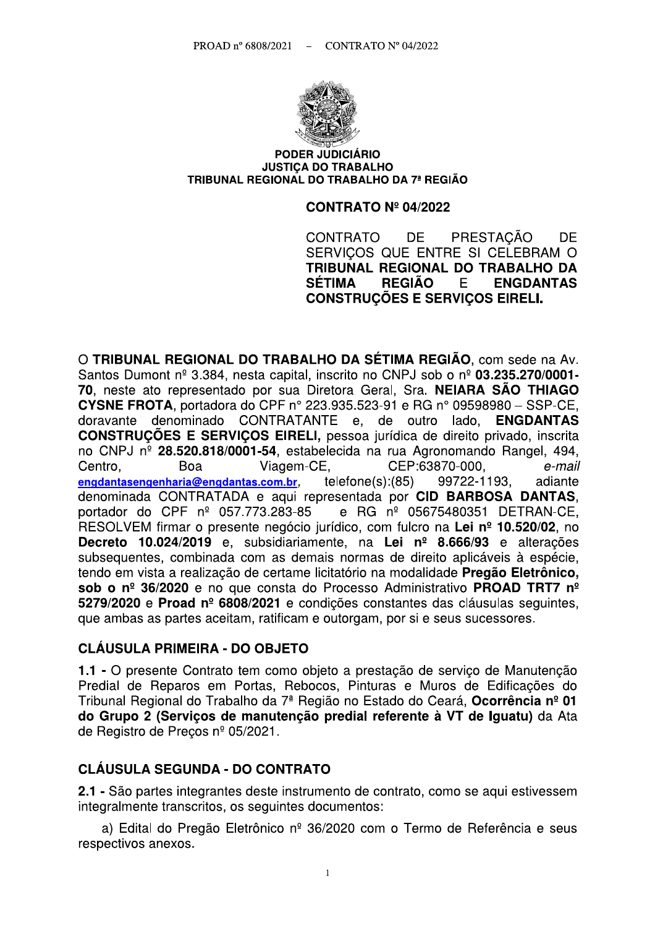

#### **PODER JUDICIÁRIO JUSTICA DO TRABALHO** TRIBUNAL REGIONAL DO TRABALHO DA 7ª REGIÃO

#### **CONTRATO Nº 04/2022**

PRESTACÃO CONTRATO DF. **DF** SERVICOS QUE ENTRE SI CELEBRAM O TRIBUNAL REGIONAL DO TRABALHO DA **SÉTIMA REGIÃO** E. **ENGDANTAS CONSTRUCÕES E SERVICOS EIRELI.** 

O TRIBUNAL REGIONAL DO TRABALHO DA SÉTIMA REGIÃO, com sede na Av. Santos Dumont nº 3.384, nesta capital, inscrito no CNPJ sob o nº 03.235.270/0001-70, neste ato representado por sua Diretora Geral, Sra. NEIARA SÃO THIAGO **CYSNE FROTA.** portadora do CPF nº 223.935.523-91 e RG nº 09598980 - SSP-CE. doravante denominado CONTRATANTE e, de outro lado, **ENGDANTAS CONSTRUÇÕES E SERVIÇOS EIRELI, pessoa jurídica de direito privado, inscrita** no CNPJ nº 28.520.818/0001-54, estabelecida na rua Agronomando Rangel, 494, CEP:63870-000, Centro. Boa Viagem-CE, e-mail  $telfone(s):(85)$ 99722-1193. engdantasengenharia@engdantas.com.br. adiante denominada CONTRATADA e aqui representada por CID BARBOSA DANTAS. portador do CPF nº 057.773.283-85 e RG nº 05675480351 DETRAN-CE, RESOLVEM firmar o presente negócio jurídico, com fulcro na Lei nº 10.520/02, no Decreto 10.024/2019 e, subsidiariamente, na Lei nº 8.666/93 e alterações subsequentes, combinada com as demais normas de direito aplicáveis à espécie, tendo em vista a realização de certame licitatório na modalidade Pregão Eletrônico, sob o nº 36/2020 e no que consta do Processo Administrativo PROAD TRT7 nº 5279/2020 e Proad nº 6808/2021 e condições constantes das cláusulas seguintes. que ambas as partes aceitam, ratificam e outorgam, por si e seus sucessores.

#### **CLÁUSULA PRIMEIRA - DO OBJETO**

1.1 - O presente Contrato tem como obieto a prestação de servico de Manutenção Predial de Reparos em Portas, Rebocos, Pinturas e Muros de Edificações do Tribunal Regional do Trabalho da 7ª Região no Estado do Ceará, Ocorrência nº 01 do Grupo 2 (Serviços de manutenção predial referente à VT de Iguatu) da Ata de Registro de Precos nº 05/2021.

#### **CLÁUSULA SEGUNDA - DO CONTRATO**

2.1 - São partes integrantes deste instrumento de contrato, como se aqui estivessem integralmente transcritos, os seguintes documentos:

a) Edital do Pregão Eletrônico nº 36/2020 com o Termo de Referência e seus respectivos anexos.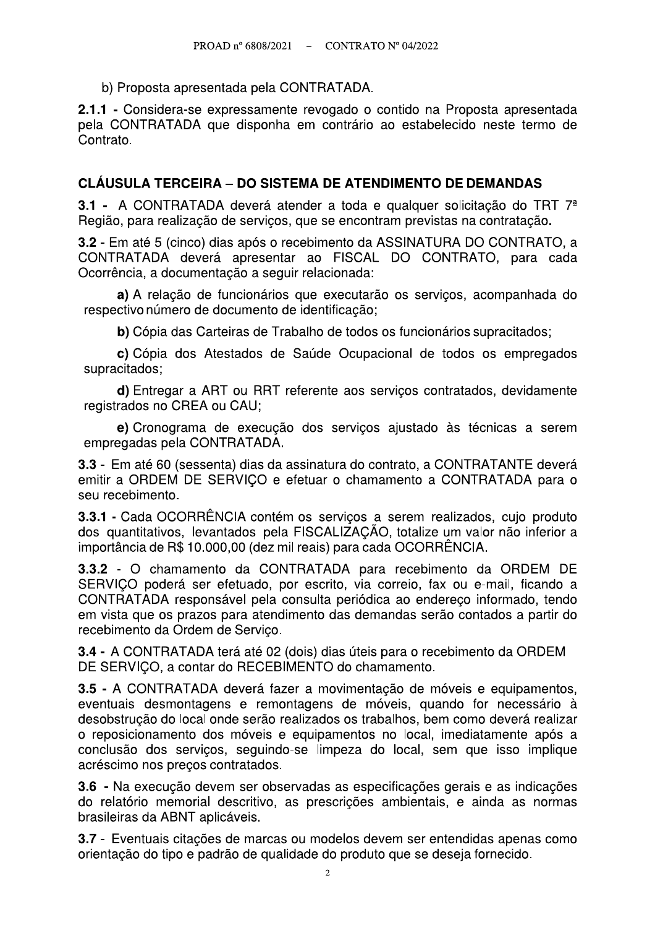b) Proposta apresentada pela CONTRATADA.

2.1.1 - Considera-se expressamente revogado o contido na Proposta apresentada pela CONTRATADA que disponha em contrário ao estabelecido neste termo de Contrato.

#### **CLÁUSULA TERCEIRA – DO SISTEMA DE ATENDIMENTO DE DEMANDAS**

3.1 - A CONTRATADA deverá atender a toda e qualquer solicitação do TRT 7<sup>ª</sup> Região, para realização de serviços, que se encontram previstas na contratação.

3.2 - Em até 5 (cinco) dias após o recebimento da ASSINATURA DO CONTRATO, a CONTRATADA deverá apresentar ao FISCAL DO CONTRATO, para cada Ocorrência, a documentação a seguir relacionada:

a) A relação de funcionários que executarão os serviços, acompanhada do respectivo número de documento de identificação;

b) Cópia das Carteiras de Trabalho de todos os funcionários supracitados;

c) Cópia dos Atestados de Saúde Ocupacional de todos os empregados supracitados;

d) Entregar a ART ou RRT referente aos serviços contratados, devidamente registrados no CREA ou CAU:

e) Cronograma de execução dos serviços ajustado às técnicas a serem empregadas pela CONTRATADA.

3.3 - Em até 60 (sessenta) dias da assinatura do contrato, a CONTRATANTE deverá emitir a ORDEM DE SERVICO e efetuar o chamamento a CONTRATADA para o seu recebimento.

3.3.1 - Cada OCORRÊNCIA contém os servicos a serem realizados, cujo produto dos quantitativos, levantados pela FISCALIZAÇÃO, totalize um valor não inferior a importância de R\$ 10.000,00 (dez mil reais) para cada OCORRÊNCIA.

3.3.2 - O chamamento da CONTRATADA para recebimento da ORDEM DE SERVICO poderá ser efetuado, por escrito, via correio, fax ou e-mail, ficando a CONTRATADA responsável pela consulta periódica ao endereco informado, tendo em vista que os prazos para atendimento das demandas serão contados a partir do recebimento da Ordem de Serviço.

3.4 - A CONTRATADA terá até 02 (dois) dias úteis para o recebimento da ORDEM DE SERVIÇO, a contar do RECEBIMENTO do chamamento.

3.5 - A CONTRATADA deverá fazer a movimentação de móveis e equipamentos, eventuais desmontagens e remontagens de móveis, quando for necessário à desobstrução do local onde serão realizados os trabalhos, bem como deverá realizar o reposicionamento dos móveis e equipamentos no local, imediatamente após a conclusão dos serviços, seguindo-se limpeza do local, sem que isso implique acréscimo nos preços contratados.

3.6 - Na execução devem ser observadas as especificações gerais e as indicações do relatório memorial descritivo, as prescrições ambientais, e ainda as normas brasileiras da ABNT aplicáveis.

3.7 - Eventuais citações de marcas ou modelos devem ser entendidas apenas como orientação do tipo e padrão de qualidade do produto que se deseja fornecido.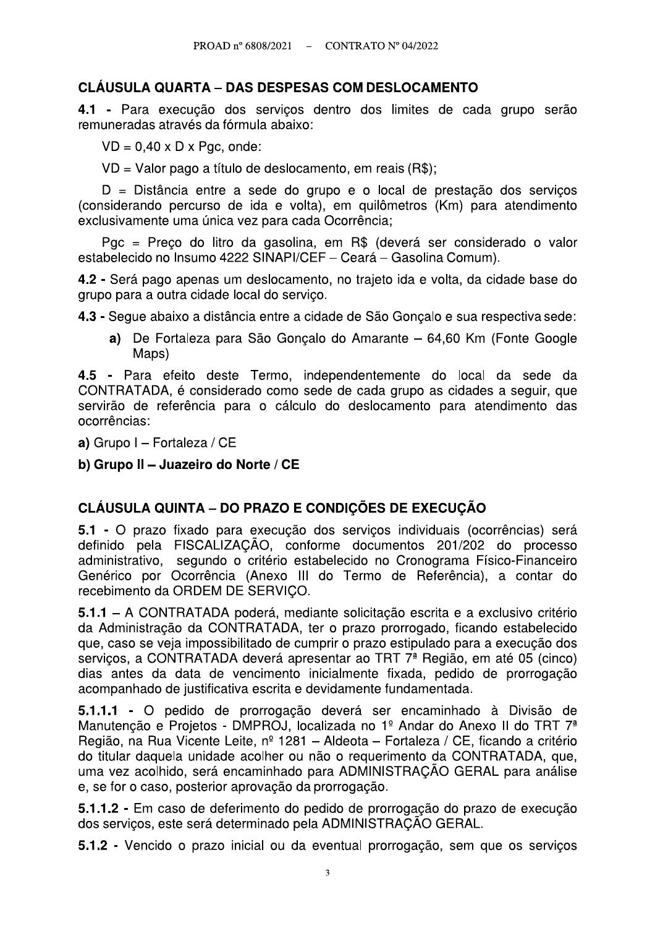#### **CLÁUSULA QUARTA – DAS DESPESAS COM DESLOCAMENTO**

4.1 - Para execução dos servicos dentro dos limites de cada grupo serão remuneradas através da fórmula abaixo:

 $VD = 0.40 \times D \times Pqc$ , onde:

VD = Valor pago a título de deslocamento, em reais (R\$);

D = Distância entre a sede do grupo e o local de prestação dos serviços (considerando percurso de ida e volta), em quilômetros (Km) para atendimento exclusivamente uma única vez para cada Ocorrência;

Pgc = Preço do litro da gasolina, em R\$ (deverá ser considerado o valor estabelecido no Insumo 4222 SINAPI/CEF - Ceará - Gasolina Comum).

4.2 - Será pago apenas um deslocamento, no trajeto ida e volta, da cidade base do grupo para a outra cidade local do serviço.

4.3 - Segue abaixo a distância entre a cidade de São Gonçalo e sua respectiva sede:

a) De Fortaleza para São Goncalo do Amarante – 64,60 Km (Fonte Google Maps)

4.5 - Para efeito deste Termo, independentemente do local da sede da CONTRATADA, é considerado como sede de cada grupo as cidades a seguir, que servirão de referência para o cálculo do deslocamento para atendimento das ocorrências:

a) Grupo I - Fortaleza / CE

b) Grupo II - Juazeiro do Norte / CE

## **CLÁUSULA QUINTA – DO PRAZO E CONDICÕES DE EXECUCÃO**

5.1 - O prazo fixado para execução dos serviços individuais (ocorrências) será definido pela FISCALIZAÇÃO, conforme documentos 201/202 do processo administrativo, segundo o critério estabelecido no Cronograma Físico-Financeiro Genérico por Ocorrência (Anexo III do Termo de Referência), a contar do recebimento da ORDEM DE SERVIÇO.

5.1.1 – A CONTRATADA poderá, mediante solicitação escrita e a exclusivo critério da Administração da CONTRATADA, ter o prazo prorrogado, ficando estabelecido que, caso se veja impossibilitado de cumprir o prazo estipulado para a execução dos servicos, a CONTRATADA deverá apresentar ao TRT 7<sup>ª</sup> Região, em até 05 (cinco) dias antes da data de vencimento inicialmente fixada, pedido de prorrogação acompanhado de justificativa escrita e devidamente fundamentada.

5.1.1.1 - O pedido de prorrogação deverá ser encaminhado à Divisão de Manutenção e Projetos - DMPROJ, localizada no 1º Andar do Anexo II do TRT 7<sup>ª</sup> Região, na Rua Vicente Leite, nº 1281 - Aldeota - Fortaleza / CE, ficando a critério do titular daquela unidade acolher ou não o requerimento da CONTRATADA, que, uma vez acolhido, será encaminhado para ADMINISTRACÃO GERAL para análise e, se for o caso, posterior aprovação da prorrogação.

5.1.1.2 - Em caso de deferimento do pedido de prorrogação do prazo de execução dos serviços, este será determinado pela ADMINISTRAÇÃO GERAL.

5.1.2 - Vencido o prazo inicial ou da eventual prorrogação, sem que os serviços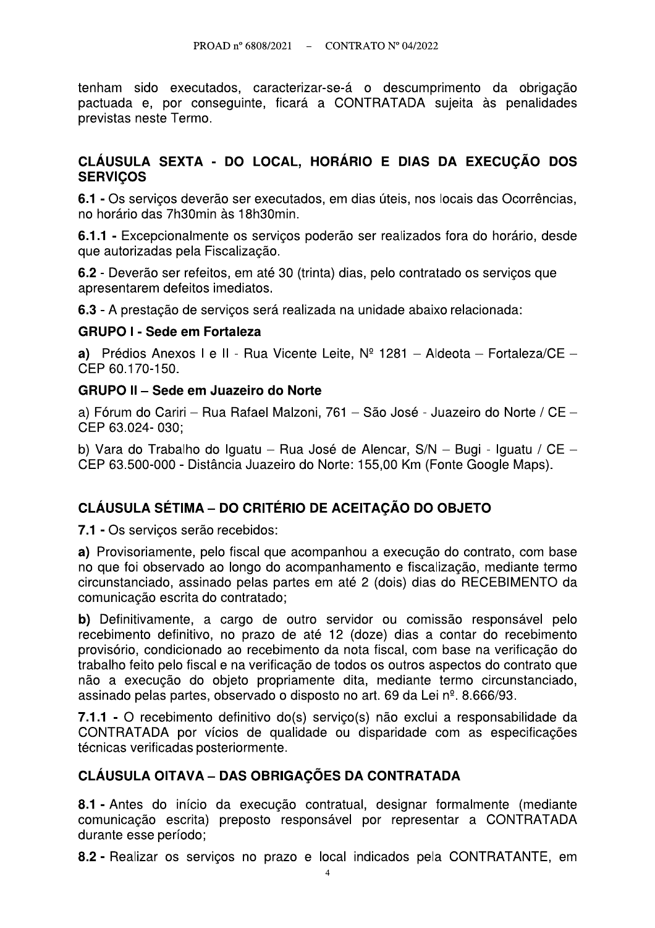tenham sido executados, caracterizar-se-á o descumprimento da obrigação pactuada e, por conseguinte, ficará a CONTRATADA sujeita às penalidades previstas neste Termo.

#### CLÁUSULA SEXTA - DO LOCAL, HORÁRIO E DIAS DA EXECUÇÃO DOS **SERVICOS**

6.1 - Os servicos deverão ser executados, em dias úteis, nos locais das Ocorrências, no horário das 7h30min às 18h30min.

6.1.1 - Excepcionalmente os servicos poderão ser realizados fora do horário, desde que autorizadas pela Fiscalização.

6.2 - Deverão ser refeitos, em até 30 (trinta) dias, pelo contratado os serviços que apresentarem defeitos imediatos.

6.3 - A prestação de servicos será realizada na unidade abaixo relacionada:

#### **GRUPO I - Sede em Fortaleza**

a) Prédios Anexos I e II - Rua Vicente Leite,  $N^{\circ}$  1281 - Aldeota - Fortaleza/CE -CEP 60.170-150.

#### **GRUPO II - Sede em Juazeiro do Norte**

a) Fórum do Cariri - Rua Rafael Malzoni, 761 - São José - Juazeiro do Norte / CE -CEP 63.024-030:

b) Vara do Trabalho do Iguatu - Rua José de Alencar, S/N - Bugi - Iguatu / CE -CEP 63.500-000 - Distância Juazeiro do Norte: 155.00 Km (Fonte Google Maps).

## **CLÁUSULA SÉTIMA – DO CRITÉRIO DE ACEITACÃO DO OBJETO**

7.1 - Os servicos serão recebidos:

a) Provisoriamente, pelo fiscal que acompanhou a execução do contrato, com base no que foi observado ao longo do acompanhamento e fiscalização, mediante termo circunstanciado, assinado pelas partes em até 2 (dois) dias do RECEBIMENTO da comunicação escrita do contratado:

b) Definitivamente, a cargo de outro servidor ou comissão responsável pelo recebimento definitivo, no prazo de até 12 (doze) dias a contar do recebimento provisório, condicionado ao recebimento da nota fiscal, com base na verificação do trabalho feito pelo fiscal e na verificação de todos os outros aspectos do contrato que não a execução do objeto propriamente dita, mediante termo circunstanciado, assinado pelas partes, observado o disposto no art. 69 da Lei nº, 8.666/93.

7.1.1 - O recebimento definitivo do(s) serviço(s) não exclui a responsabilidade da CONTRATADA por vícios de qualidade ou disparidade com as especificações técnicas verificadas posteriormente.

#### **CLÁUSULA OITAVA - DAS OBRIGAÇÕES DA CONTRATADA**

8.1 - Antes do início da execução contratual, designar formalmente (mediante comunicação escrita) preposto responsável por representar a CONTRATADA durante esse período;

8.2 - Realizar os serviços no prazo e local indicados pela CONTRATANTE, em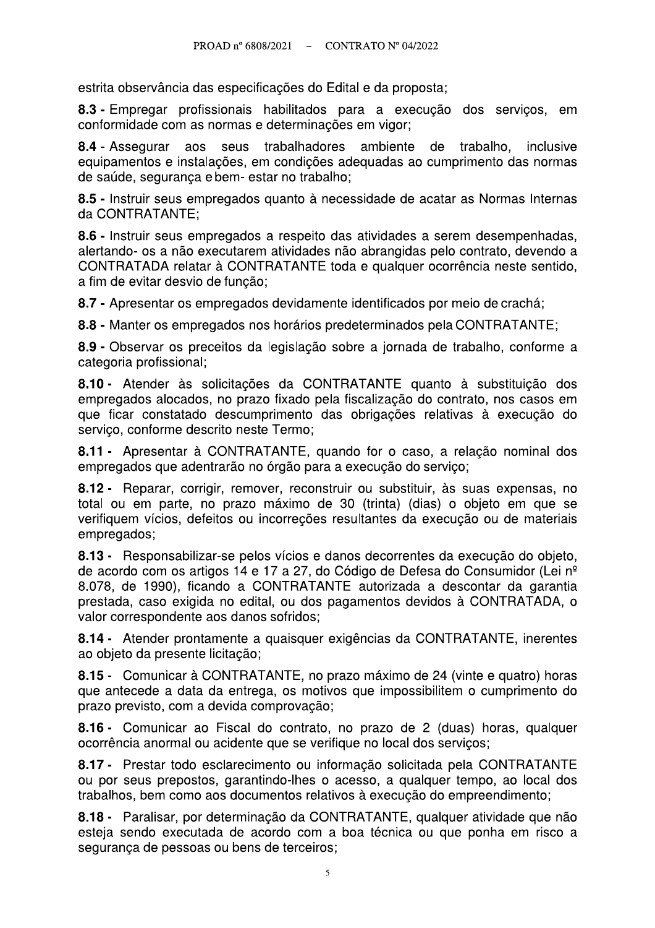estrita observância das especificações do Edital e da proposta;

8.3 - Empregar profissionais habilitados para a execução dos servicos, em conformidade com as normas e determinações em vigor;

8.4 - Assegurar aos seus trabalhadores ambiente de trabalho, inclusive equipamentos e instalações, em condições adequadas ao cumprimento das normas de saúde, seguranca e bem- estar no trabalho;

8.5 - Instruir seus empregados quanto à necessidade de acatar as Normas Internas da CONTRATANTE:

8.6 - Instruir seus empregados a respeito das atividades a serem desempenhadas, alertando- os a não executarem atividades não abrangidas pelo contrato, devendo a CONTRATADA relatar à CONTRATANTE toda e qualquer ocorrência neste sentido, a fim de evitar desvio de função;

8.7 - Apresentar os empregados devidamente identificados por meio de crachá;

8.8 - Manter os empregados nos horários predeterminados pela CONTRATANTE;

8.9 - Observar os preceitos da legislação sobre a jornada de trabalho, conforme a categoria profissional:

8.10 - Atender às solicitações da CONTRATANTE quanto à substituição dos empregados alocados, no prazo fixado pela fiscalização do contrato, nos casos em que ficar constatado descumprimento das obrigações relativas à execução do servico, conforme descrito neste Termo;

8.11 - Apresentar à CONTRATANTE, quando for o caso, a relação nominal dos empregados que adentrarão no órgão para a execução do servico;

8.12 - Reparar, corrigir, remover, reconstruir ou substituir, às suas expensas, no total ou em parte, no prazo máximo de 30 (trinta) (dias) o objeto em que se verifiquem vícios, defeitos ou incorreções resultantes da execução ou de materiais empregados;

8.13 - Responsabilizar-se pelos vícios e danos decorrentes da execução do objeto, de acordo com os artigos 14 e 17 a 27, do Código de Defesa do Consumidor (Lei nº 8.078, de 1990), ficando a CONTRATANTE autorizada a descontar da garantia prestada, caso exigida no edital, ou dos pagamentos devidos à CONTRATADA, o valor correspondente aos danos sofridos;

8.14 - Atender prontamente a quaisquer exigências da CONTRATANTE, inerentes ao objeto da presente licitação;

8.15 - Comunicar à CONTRATANTE, no prazo máximo de 24 (vinte e quatro) horas que antecede a data da entrega, os motivos que impossibilitem o cumprimento do prazo previsto, com a devida comprovação;

8.16 - Comunicar ao Fiscal do contrato, no prazo de 2 (duas) horas, qualquer ocorrência anormal ou acidente que se verifique no local dos serviços;

8.17 - Prestar todo esclarecimento ou informação solicitada pela CONTRATANTE ou por seus prepostos, garantindo-lhes o acesso, a qualquer tempo, ao local dos trabalhos, bem como aos documentos relativos à execução do empreendimento;

8.18 - Paralisar, por determinação da CONTRATANTE, qualquer atividade que não esteja sendo executada de acordo com a boa técnica ou que ponha em risco a segurança de pessoas ou bens de terceiros;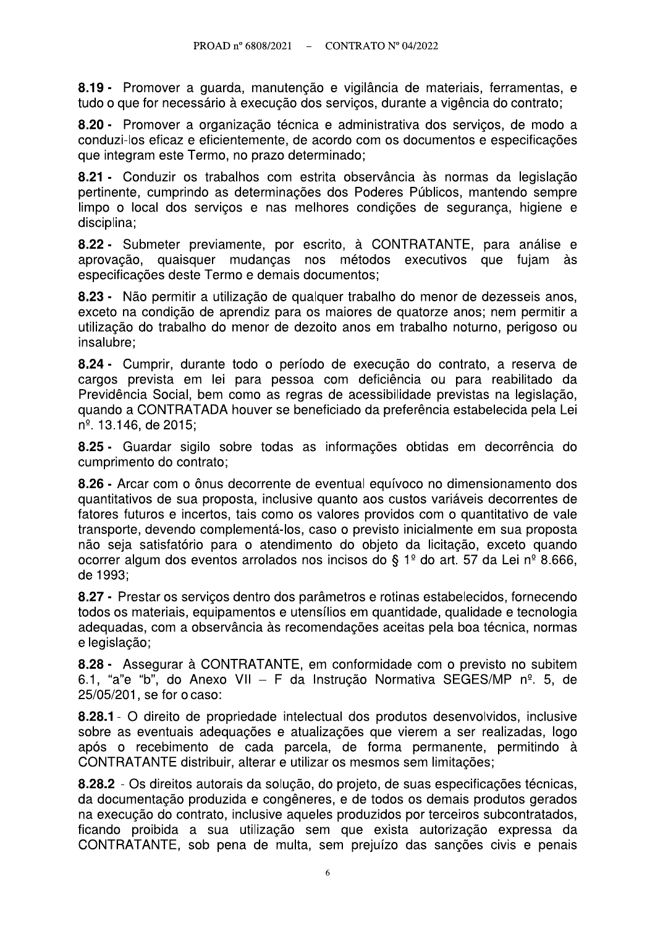8.19 - Promover a guarda, manutenção e vigilância de materiais, ferramentas, e tudo o que for necessário à execução dos serviços, durante a vigência do contrato;

8.20 - Promover a organização técnica e administrativa dos serviços, de modo a conduzi-los eficaz e eficientemente, de acordo com os documentos e especificações que integram este Termo, no prazo determinado;

8.21 - Conduzir os trabalhos com estrita observância às normas da legislação pertinente, cumprindo as determinações dos Poderes Públicos, mantendo sempre limpo o local dos serviços e nas melhores condições de segurança, higiene e disciplina;

8.22 - Submeter previamente, por escrito, à CONTRATANTE, para análise e aprovação, quaisquer mudanças nos métodos executivos que fuiam às especificações deste Termo e demais documentos;

8.23 - Não permitir a utilização de qualquer trabalho do menor de dezesseis anos, exceto na condição de aprendiz para os maiores de quatorze anos; nem permitir a utilização do trabalho do menor de dezoito anos em trabalho noturno, perigoso ou insalubre;

8.24 - Cumprir, durante todo o período de execução do contrato, a reserva de cargos prevista em lei para pessoa com deficiência ou para reabilitado da Previdência Social, bem como as regras de acessibilidade previstas na legislação, guando a CONTRATADA houver se beneficiado da preferência estabelecida pela Lei n<sup>o</sup>. 13.146, de 2015;

8.25 - Guardar sigilo sobre todas as informações obtidas em decorrência do cumprimento do contrato;

8.26 - Arcar com o ônus decorrente de eventual equívoco no dimensionamento dos quantitativos de sua proposta, inclusive quanto aos custos variáveis decorrentes de fatores futuros e incertos, tais como os valores providos com o quantitativo de vale transporte, devendo complementá-los, caso o previsto inicialmente em sua proposta não seja satisfatório para o atendimento do objeto da licitação, exceto quando ocorrer algum dos eventos arrolados nos incisos do § 1º do art. 57 da Lei nº 8.666, de 1993:

8.27 - Prestar os serviços dentro dos parâmetros e rotinas estabelecidos, fornecendo todos os materiais, equipamentos e utensílios em quantidade, qualidade e tecnologia adequadas, com a observância às recomendações aceitas pela boa técnica, normas e legislação;

8.28 - Assegurar à CONTRATANTE, em conformidade com o previsto no subitem 6.1, "a"e "b", do Anexo VII - F da Instrução Normativa SEGES/MP nº. 5, de 25/05/201, se for o caso:

8.28.1 - O direito de propriedade intelectual dos produtos desenvolvidos, inclusive sobre as eventuais adequações e atualizações que vierem a ser realizadas, logo após o recebimento de cada parcela, de forma permanente, permitindo à CONTRATANTE distribuir, alterar e utilizar os mesmos sem limitações;

8.28.2 - Os direitos autorais da solução, do projeto, de suas especificações técnicas, da documentação produzida e congêneres, e de todos os demais produtos gerados na execução do contrato, inclusive aqueles produzidos por terceiros subcontratados, ficando proibida a sua utilização sem que exista autorização expressa da CONTRATANTE, sob pena de multa, sem prejuízo das sanções civis e penais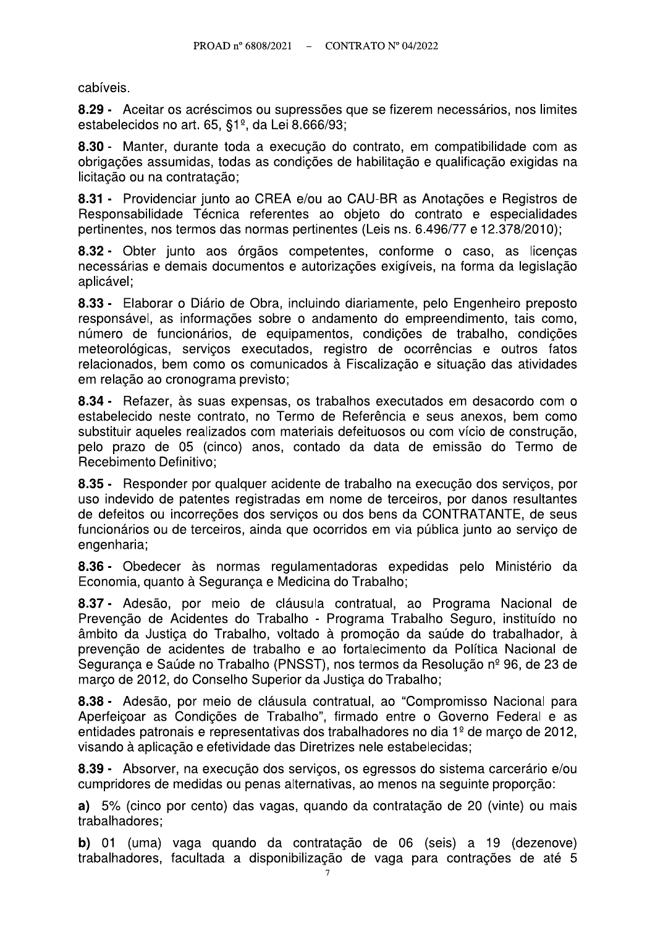cabíveis.

8.29 - Aceitar os acréscimos ou supressões que se fizerem necessários, nos limites estabelecidos no art. 65,  $\S1^{\circ}$ , da Lei 8.666/93;

8.30 - Manter, durante toda a execução do contrato, em compatibilidade com as obrigações assumidas, todas as condições de habilitação e qualificação exigidas na licitação ou na contratação;

8.31 - Providenciar junto ao CREA e/ou ao CAU-BR as Anotações e Registros de Responsabilidade Técnica referentes ao objeto do contrato e especialidades pertinentes, nos termos das normas pertinentes (Leis ns. 6.496/77 e 12.378/2010);

8.32 - Obter junto aos órgãos competentes, conforme o caso, as licenças necessárias e demais documentos e autorizações exigíveis, na forma da legislação aplicável;

8.33 - Elaborar o Diário de Obra, incluindo diariamente, pelo Engenheiro preposto responsável, as informações sobre o andamento do empreendimento, tais como, número de funcionários, de equipamentos, condições de trabalho, condições meteorológicas, serviços executados, registro de ocorrências e outros fatos relacionados, bem como os comunicados à Fiscalização e situação das atividades em relação ao cronograma previsto;

8.34 - Refazer, às suas expensas, os trabalhos executados em desacordo com o estabelecido neste contrato, no Termo de Referência e seus anexos, bem como substituir aqueles realizados com materiais defeituosos ou com vício de construção, pelo prazo de 05 (cinco) anos, contado da data de emissão do Termo de Recebimento Definitivo;

8.35 - Responder por qualquer acidente de trabalho na execução dos servicos, por uso indevido de patentes registradas em nome de terceiros, por danos resultantes de defeitos ou incorreções dos serviços ou dos bens da CONTRATANTE, de seus funcionários ou de terceiros, ainda que ocorridos em via pública junto ao serviço de engenharia;

8.36 - Obedecer às normas regulamentadoras expedidas pelo Ministério da Economia, quanto à Segurança e Medicina do Trabalho;

8.37 - Adesão, por meio de cláusula contratual, ao Programa Nacional de Prevenção de Acidentes do Trabalho - Programa Trabalho Seguro, instituído no âmbito da Justica do Trabalho, voltado à promoção da saúde do trabalhador, à prevenção de acidentes de trabalho e ao fortalecimento da Política Nacional de Segurança e Saúde no Trabalho (PNSST), nos termos da Resolução nº 96, de 23 de marco de 2012, do Conselho Superior da Justica do Trabalho;

8.38 - Adesão, por meio de cláusula contratual, ao "Compromisso Nacional para Aperfeiçoar as Condições de Trabalho", firmado entre o Governo Federal e as entidades patronais e representativas dos trabalhadores no dia 1º de marco de 2012. visando à aplicação e efetividade das Diretrizes nele estabelecidas;

8.39 - Absorver, na execução dos serviços, os egressos do sistema carcerário e/ou cumpridores de medidas ou penas alternativas, ao menos na seguinte proporção:

a) 5% (cinco por cento) das vagas, quando da contratação de 20 (vinte) ou mais trabalhadores;

b) 01 (uma) vaga quando da contratação de 06 (seis) a 19 (dezenove) trabalhadores, facultada a disponibilização de vaga para contrações de até 5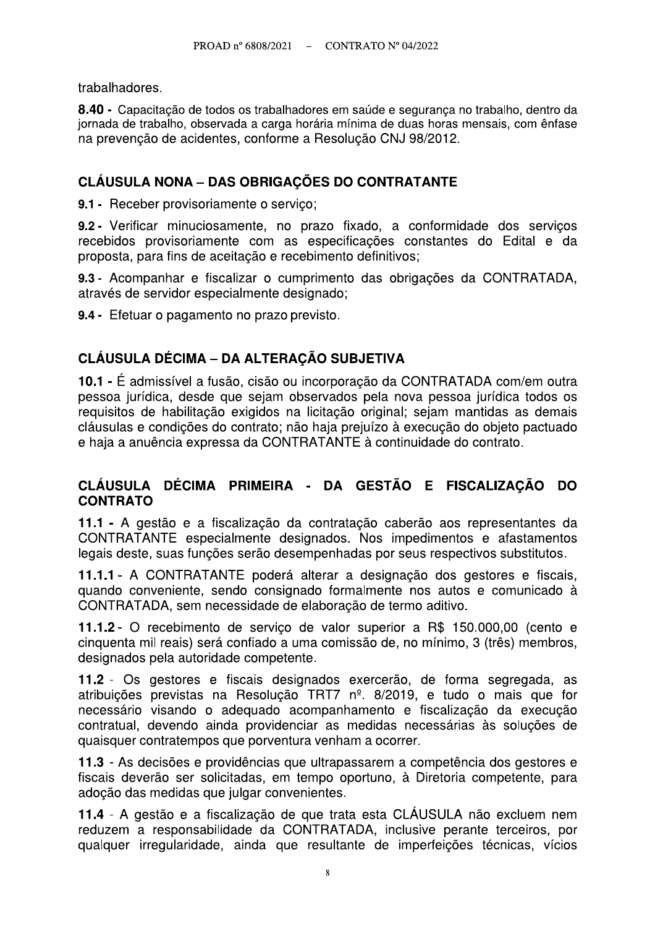trabalhadores.

#### CLÁUSULA NONA - DAS OBRIGAÇÕES DO CONTRATANTE

PROAD n° 6808/2021 – CONTRATO N° 04/2022<br> **2.40** - Capacitação de todos os trabalhadores em saúde e segurança no trabalho, dentro da<br>
jornada de trabalho, observada a carga horária mínima de duas horas mensais, com ênfase<br>

#### CLÁUSULA DÉCIMA - DA ALTERAÇÃO SUBJETIVA

trabalhadores.<br>
8.40 - Capacitação de todos os trabalhadores em saúde e segurança no trabalho, dentro da<br>
jomada de trabalho, observada a carga horária minima de duas horas mensais, com ênfase<br>
na prevenção de acidentes, c proposta, para tins de aceltação e recebimento definitivos;<br>
9.3 - Acompanhar e fiscalizar o cumprimento das obrigações da CONTRATADA,<br>
através de servidor especialmente designado;<br>
9.4 - Efetuar o pagamento no prazo previ

# CLÁUSULA DÉCIMA PRIMEIRA - DA GESTÃO E FISCALIZAÇÃO DO<br>CONTRATO

pessoa jurituta, usesti qua segunti ussevitatis pela toria pela contrata do cos da contrata de habitação exiglidos na lidiação dos primais sa demais<br>clausidas e contrações do contrato. Talo a baja prejuto à seccução do dol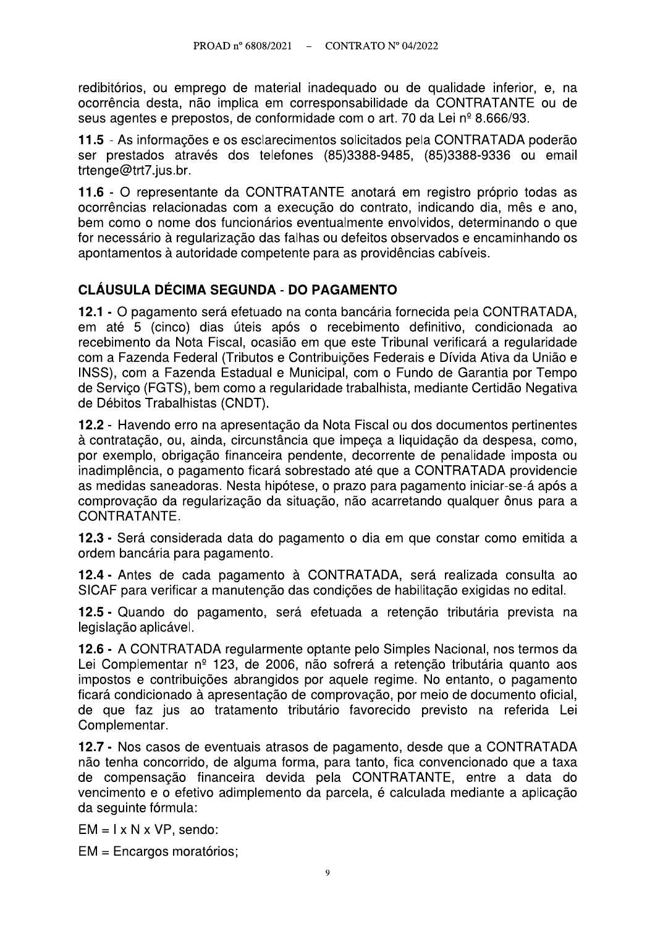redibitórios, ou emprego de material inadeguado ou de qualidade inferior, e, na ocorrência desta, não implica em corresponsabilidade da CONTRATANTE ou de seus agentes e prepostos, de conformidade com o art. 70 da Lei nº 8.666/93.

11.5 - As informações e os esclarecimentos solicitados pela CONTRATADA poderão ser prestados através dos telefones (85)3388-9485, (85)3388-9336 ou email trtenge@trt7.jus.br.

11.6 - O representante da CONTRATANTE anotará em registro próprio todas as ocorrências relacionadas com a execução do contrato, indicando dia, mês e ano, bem como o nome dos funcionários eventualmente envolvidos, determinando o que for necessário à regularização das falhas ou defeitos observados e encaminhando os apontamentos à autoridade competente para as providências cabíveis.

## **CLÁUSULA DÉCIMA SEGUNDA - DO PAGAMENTO**

12.1 - O pagamento será efetuado na conta bancária fornecida pela CONTRATADA. em até 5 (cinco) dias úteis após o recebimento definitivo, condicionada ao recebimento da Nota Fiscal, ocasião em que este Tribunal verificará a regularidade com a Fazenda Federal (Tributos e Contribuições Federais e Dívida Ativa da União e INSS), com a Fazenda Estadual e Municipal, com o Fundo de Garantia por Tempo de Servico (FGTS), bem como a regularidade trabalhista, mediante Certidão Negativa de Débitos Trabalhistas (CNDT).

12.2 - Havendo erro na apresentação da Nota Fiscal ou dos documentos pertinentes à contratação, ou, ainda, circunstância que impeca a liquidação da despesa, como, por exemplo, obrigação financeira pendente, decorrente de penalidade imposta ou inadimplência, o pagamento ficará sobrestado até que a CONTRATADA providencie as medidas saneadoras. Nesta hipótese, o prazo para pagamento iniciar-se-á após a comprovação da regularização da situação, não acarretando qualquer ônus para a CONTRATANTE.

12.3 - Será considerada data do pagamento o dia em que constar como emitida a ordem bancária para pagamento.

12.4 - Antes de cada pagamento à CONTRATADA, será realizada consulta ao SICAF para verificar a manutenção das condições de habilitação exigidas no edital.

12.5 - Quando do pagamento, será efetuada a retenção tributária prevista na legislação aplicável.

12.6 - A CONTRATADA regularmente optante pelo Simples Nacional, nos termos da Lei Complementar nº 123, de 2006, não sofrerá a retenção tributária quanto aos impostos e contribuições abrangidos por aquele regime. No entanto, o pagamento ficará condicionado à apresentação de comprovação, por meio de documento oficial, de que faz jus ao tratamento tributário favorecido previsto na referida Lei Complementar.

12.7 - Nos casos de eventuais atrasos de pagamento, desde que a CONTRATADA não tenha concorrido, de alguma forma, para tanto, fica convencionado que a taxa de compensação financeira devida pela CONTRATANTE, entre a data do vencimento e o efetivo adimplemento da parcela, é calculada mediante a aplicação da seguinte fórmula:

 $EM = I \times N \times VP$ , sendo:

EM = Encargos moratórios;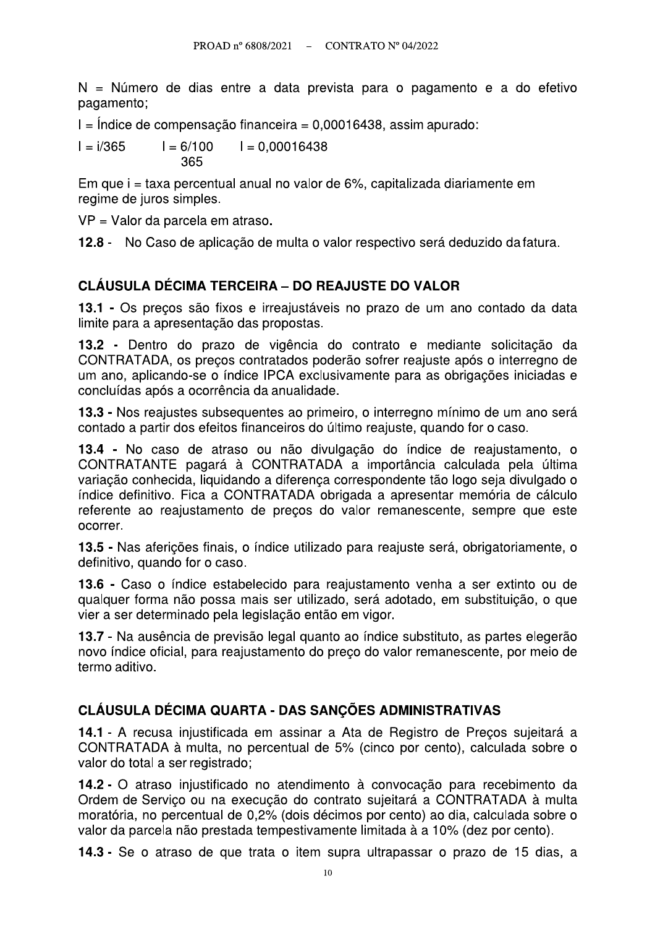N = Número de dias entre a data prevista para o pagamento e a do efetivo pagamento;

I = Indice de compensação financeira = 0,00016438, assim apurado:

 $I = 6/100$  $I = 0,00016438$  $I = i/365$ 365

Em que i = taxa percentual anual no valor de 6%, capitalizada diariamente em regime de juros simples.

VP = Valor da parcela em atraso.

12.8 - No Caso de aplicação de multa o valor respectivo será deduzido da fatura.

#### **CLÁUSULA DÉCIMA TERCEIRA – DO REAJUSTE DO VALOR**

13.1 - Os precos são fixos e irreajustáveis no prazo de um ano contado da data limite para a apresentação das propostas.

13.2 - Dentro do prazo de vigência do contrato e mediante solicitação da CONTRATADA, os preços contratados poderão sofrer reajuste após o interregno de um ano, aplicando-se o índice IPCA exclusivamente para as obrigações iniciadas e concluídas após a ocorrência da anualidade.

13.3 - Nos reajustes subsequentes ao primeiro, o interregno mínimo de um ano será contado a partir dos efeitos financeiros do último reajuste, quando for o caso.

13.4 - No caso de atraso ou não divulgação do índice de reajustamento, o CONTRATANTE pagará à CONTRATADA a importância calculada pela última variação conhecida, liguidando a diferença correspondente tão logo seja divulgado o índice definitivo. Fica a CONTRATADA obrigada a apresentar memória de cálculo referente ao reajustamento de preços do valor remanescente, sempre que este ocorrer.

13.5 - Nas aferições finais, o índice utilizado para reajuste será, obrigatoriamente, o definitivo, quando for o caso.

13.6 - Caso o índice estabelecido para reajustamento venha a ser extinto ou de qualquer forma não possa mais ser utilizado, será adotado, em substituição, o que vier a ser determinado pela legislação então em vigor.

13.7 - Na ausência de previsão legal quanto ao índice substituto, as partes elegerão novo índice oficial, para reajustamento do preco do valor remanescente, por mejo de termo aditivo.

## CLÁUSULA DÉCIMA QUARTA - DAS SANCÕES ADMINISTRATIVAS

14.1 - A recusa iniustificada em assinar a Ata de Registro de Precos sujeitará a CONTRATADA à multa, no percentual de 5% (cinco por cento), calculada sobre o valor do total a ser registrado;

14.2 - O atraso injustificado no atendimento à convocação para recebimento da Ordem de Serviço ou na execução do contrato sujeitará a CONTRATADA à multa moratória, no percentual de 0,2% (dois décimos por cento) ao dia, calculada sobre o valor da parcela não prestada tempestivamente limitada à a 10% (dez por cento).

14.3 - Se o atraso de que trata o item supra ultrapassar o prazo de 15 dias, a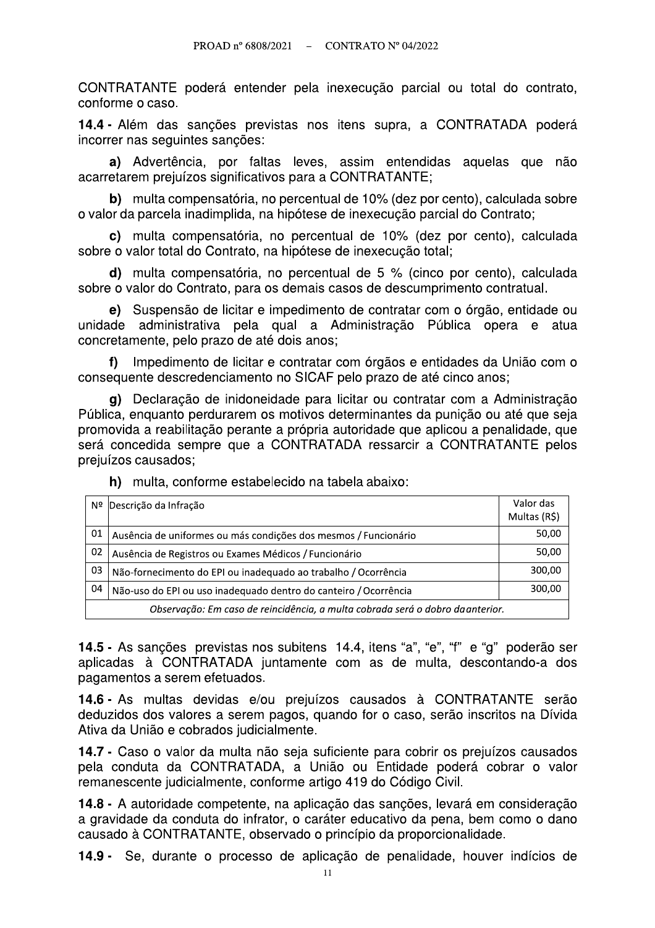CONTRATANTE poderá entender pela inexecução parcial ou total do contrato, conforme o caso.

14.4 - Além das sanções previstas nos itens supra, a CONTRATADA poderá incorrer nas sequintes sancões:

a) Advertência, por faltas leves, assim entendidas aquelas que não acarretarem prejuízos significativos para a CONTRATANTE;

b) multa compensatória, no percentual de 10% (dez por cento), calculada sobre o valor da parcela inadimplida, na hipótese de inexecução parcial do Contrato;

c) multa compensatória, no percentual de 10% (dez por cento), calculada sobre o valor total do Contrato, na hipótese de inexecução total;

d) multa compensatória, no percentual de 5 % (cinco por cento), calculada sobre o valor do Contrato, para os demais casos de descumprimento contratual.

e) Suspensão de licitar e impedimento de contratar com o órgão, entidade ou unidade administrativa pela qual a Administração Pública opera e atua concretamente, pelo prazo de até dois anos:

f) Impedimento de licitar e contratar com órgãos e entidades da União com o consequente descredenciamento no SICAF pelo prazo de até cinco anos;

g) Declaração de inidoneidade para licitar ou contratar com a Administração Pública, enguanto perdurarem os motivos determinantes da punição ou até que seja promovida a reabilitação perante a própria autoridade que aplicou a penalidade, que será concedida sempre que a CONTRATADA ressarcir a CONTRATANTE pelos prejuízos causados;

| Nº                                                                             | Descrição da Infração                                            | Valor das<br>Multas (R\$) |
|--------------------------------------------------------------------------------|------------------------------------------------------------------|---------------------------|
| 01                                                                             | Ausência de uniformes ou más condições dos mesmos / Funcionário  | 50,00                     |
| 02                                                                             | Ausência de Registros ou Exames Médicos / Funcionário            | 50,00                     |
| 03                                                                             | Não-fornecimento do EPI ou inadequado ao trabalho / Ocorrência   | 300,00                    |
| 04                                                                             | Não-uso do EPI ou uso inadequado dentro do canteiro / Ocorrência | 300.00                    |
| Observação: Em caso de reincidência, a multa cobrada será o dobro da anterior. |                                                                  |                           |

h) multa, conforme estabelecido na tabela abaixo:

14.5 - As sanções previstas nos subitens 14.4, itens "a", "e", "f" e "g" poderão ser aplicadas à CONTRATADA juntamente com as de multa, descontando-a dos pagamentos a serem efetuados.

14.6 - As multas devidas e/ou prejuízos causados à CONTRATANTE serão deduzidos dos valores a serem pagos, quando for o caso, serão inscritos na Dívida Ativa da União e cobrados iudicialmente.

14.7 - Caso o valor da multa não seja suficiente para cobrir os prejuízos causados pela conduta da CONTRATADA, a União ou Entidade poderá cobrar o valor remanescente judicialmente, conforme artigo 419 do Código Civil.

14.8 - A autoridade competente, na aplicação das sanções, levará em consideração a gravidade da conduta do infrator, o caráter educativo da pena, bem como o dano causado à CONTRATANTE, observado o princípio da proporcionalidade.

14.9 - Se, durante o processo de aplicação de penalidade, houver indícios de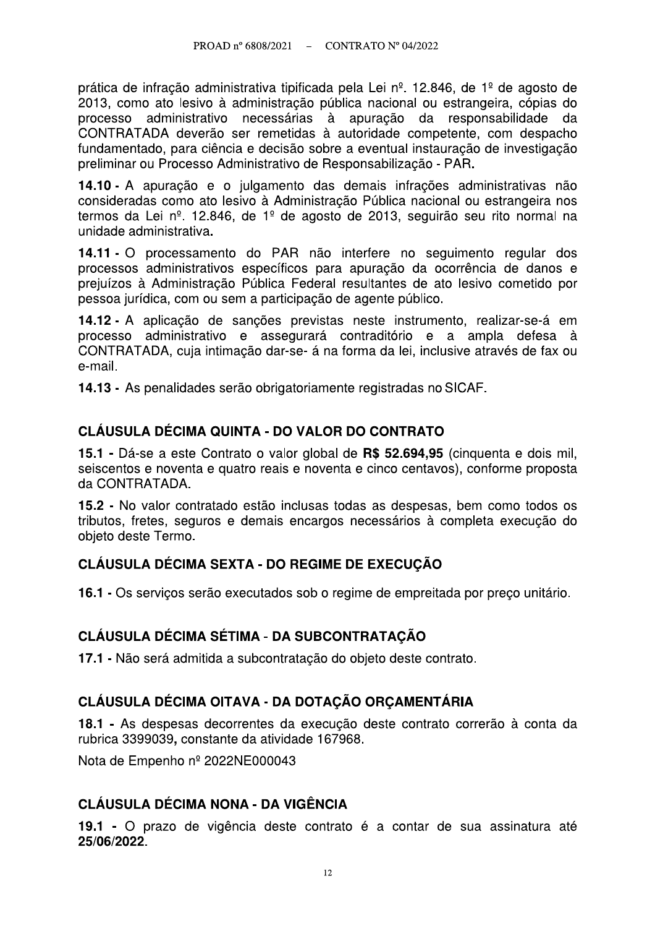prática de infração administrativa tipificada pela Lei nº. 12.846, de 1º de agosto de 2013, como ato lesivo à administração pública nacional ou estrangeira, cópias do processo administrativo necessárias à apuração da responsabilidade da CONTRATADA deverão ser remetidas à autoridade competente, com despacho fundamentado, para ciência e decisão sobre a eventual instauração de investigação preliminar ou Processo Administrativo de Responsabilização - PAR.

14.10 - A apuração e o julgamento das demais infrações administrativas não consideradas como ato lesivo à Administração Pública nacional ou estrangeira nos termos da Lei nº. 12.846, de 1º de agosto de 2013, seguirão seu rito normal na unidade administrativa.

14.11 - O processamento do PAR não interfere no seguimento regular dos processos administrativos específicos para apuração da ocorrência de danos e prejuízos à Administração Pública Federal resultantes de ato lesivo cometido por pessoa jurídica, com ou sem a participação de agente público.

14.12 - A aplicação de sanções previstas neste instrumento, realizar-se-á em processo administrativo e assegurará contraditório e a ampla defesa à CONTRATADA, cuja intimação dar-se- á na forma da lei, inclusive através de fax ou e-mail.

14.13 - As penalidades serão obrigatoriamente registradas no SICAF.

## CLÁUSULA DÉCIMA QUINTA - DO VALOR DO CONTRATO

15.1 - Dá-se a este Contrato o valor global de R\$ 52.694,95 (cinquenta e dois mil, seiscentos e noventa e quatro reais e noventa e cinco centavos), conforme proposta da CONTRATADA.

15.2 - No valor contratado estão inclusas todas as despesas, bem como todos os tributos, fretes, seguros e demais encargos necessários à completa execução do objeto deste Termo.

## CLÁUSULA DÉCIMA SEXTA - DO REGIME DE EXECUÇÃO

16.1 - Os serviços serão executados sob o regime de empreitada por preco unitário.

## **CLÁUSULA DÉCIMA SÉTIMA - DA SUBCONTRATACÃO**

17.1 - Não será admitida a subcontratação do objeto deste contrato.

## CLÁUSULA DÉCIMA OITAVA - DA DOTAÇÃO ORCAMENTÁRIA

18.1 - As despesas decorrentes da execução deste contrato correrão à conta da rubrica 3399039, constante da atividade 167968.

Nota de Empenho nº 2022NE000043

## **CLÁUSULA DÉCIMA NONA - DA VIGÊNCIA**

19.1 - O prazo de vigência deste contrato é a contar de sua assinatura até 25/06/2022.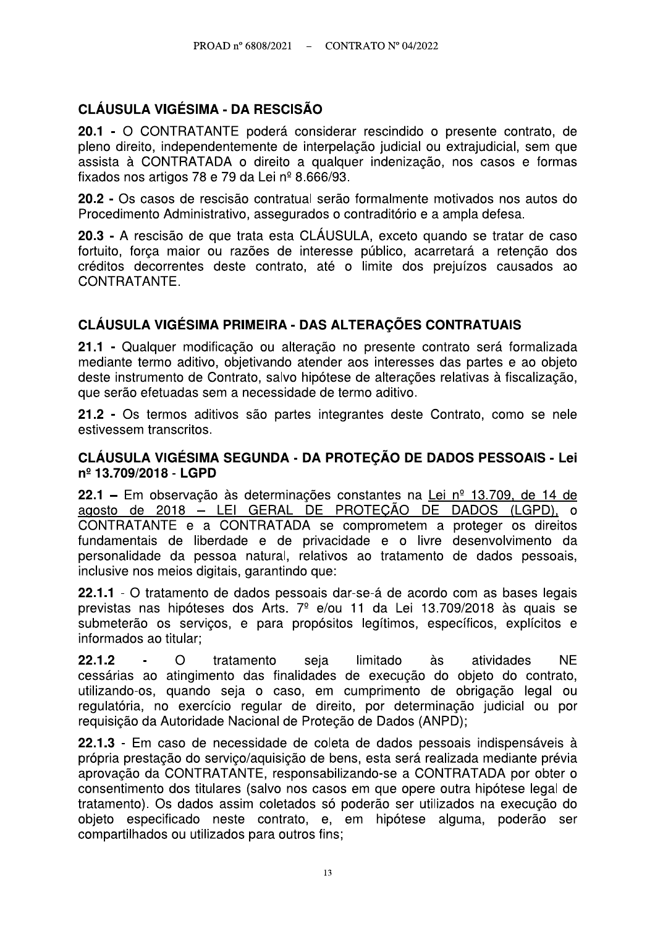## **CLÁUSULA VIGÉSIMA - DA RESCISÃO**

20.1 - O CONTRATANTE poderá considerar rescindido o presente contrato, de pleno direito, independentemente de interpelação judicial ou extrajudicial, sem que assista à CONTRATADA o direito a qualquer indenização, nos casos e formas fixados nos artigos 78 e 79 da Lei nº 8.666/93.

20.2 - Os casos de rescisão contratual serão formalmente motivados nos autos do Procedimento Administrativo, assegurados o contraditório e a ampla defesa.

20.3 - A rescisão de que trata esta CLÁUSULA, exceto quando se tratar de caso fortuito, força maior ou razões de interesse público, acarretará a retenção dos créditos decorrentes deste contrato, até o limite dos prejuízos causados ao CONTRATANTE.

#### CLÁUSULA VIGÉSIMA PRIMEIRA - DAS ALTERAÇÕES CONTRATUAIS

21.1 - Qualquer modificação ou alteração no presente contrato será formalizada mediante termo aditivo, objetivando atender aos interesses das partes e ao objeto deste instrumento de Contrato, salvo hipótese de alterações relativas à fiscalização, que serão efetuadas sem a necessidade de termo aditivo.

21.2 - Os termos aditivos são partes integrantes deste Contrato, como se nele estivessem transcritos.

#### CLÁUSULA VIGÉSIMA SEGUNDA - DA PROTECÃO DE DADOS PESSOAIS - Lei nº 13.709/2018 - LGPD

22.1 – Em observação às determinações constantes na Lei nº 13.709, de 14 de agosto de 2018 - LEI GERAL DE PROTEÇÃO DE DADOS (LGPD). o CONTRATANTE e a CONTRATADA se comprometem a proteger os direitos fundamentais de liberdade e de privacidade e o livre desenvolvimento da personalidade da pessoa natural, relativos ao tratamento de dados pessoais, inclusive nos meios digitais, garantindo que:

22.1.1 - O tratamento de dados pessoais dar-se-á de acordo com as bases legais previstas nas hipóteses dos Arts. 7<sup>º</sup> e/ou 11 da Lei 13.709/2018 às quais se submeterão os serviços, e para propósitos legítimos, específicos, explícitos e informados ao titular:

 $22.1.2$  $\Omega$ tratamento seja limitado às atividades **NF** cessárias ao atingimento das finalidades de execução do objeto do contrato, utilizando-os, quando seja o caso, em cumprimento de obrigação legal ou regulatória, no exercício regular de direito, por determinação judicial ou por requisição da Autoridade Nacional de Proteção de Dados (ANPD);

22.1.3 - Em caso de necessidade de coleta de dados pessoais indispensáveis à própria prestação do servico/aguisição de bens, esta será realizada mediante prévia aprovação da CONTRATANTE, responsabilizando-se a CONTRATADA por obter o consentimento dos titulares (salvo nos casos em que opere outra hipótese legal de tratamento). Os dados assim coletados só poderão ser utilizados na execução do objeto especificado neste contrato, e, em hipótese alguma, poderão ser compartilhados ou utilizados para outros fins;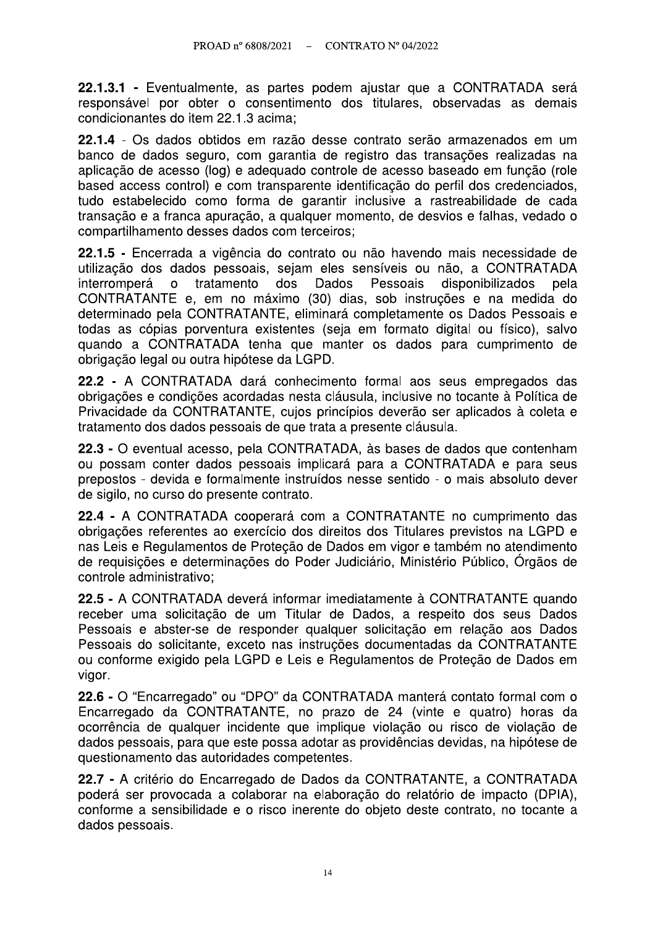22.1.3.1 - Eventualmente, as partes podem ajustar que a CONTRATADA será responsável por obter o consentimento dos titulares, observadas as demais condicionantes do item 22.1.3 acima:

22.1.4 - Os dados obtidos em razão desse contrato serão armazenados em um banco de dados seguro, com garantia de registro das transações realizadas na aplicação de acesso (log) e adequado controle de acesso baseado em função (role based access control) e com transparente identificação do perfil dos credenciados, tudo estabelecido como forma de garantir inclusive a rastreabilidade de cada transação e a franca apuração, a qualquer momento, de desvios e falhas, vedado o compartilhamento desses dados com terceiros;

22.1.5 - Encerrada a vigência do contrato ou não havendo mais necessidade de utilização dos dados pessoais, sejam eles sensíveis ou não, a CONTRATADA interromperá o tratamento dos Dados Pessoais disponibilizados pela CONTRATANTE e, em no máximo (30) dias, sob instruções e na medida do determinado pela CONTRATANTE, eliminará completamente os Dados Pessoais e todas as cópias porventura existentes (seja em formato digital ou físico), salvo quando a CONTRATADA tenha que manter os dados para cumprimento de obrigação legal ou outra hipótese da LGPD.

22.2 - A CONTRATADA dará conhecimento formal aos seus empregados das obrigações e condições acordadas nesta cláusula, inclusive no tocante à Política de Privacidade da CONTRATANTE, cujos princípios deverão ser aplicados à coleta e tratamento dos dados pessoais de que trata a presente cláusula.

22.3 - O eventual acesso, pela CONTRATADA, às bases de dados que contenham ou possam conter dados pessoais implicará para a CONTRATADA e para seus prepostos - devida e formalmente instruídos nesse sentido - o mais absoluto dever de sigilo, no curso do presente contrato.

22.4 - A CONTRATADA cooperará com a CONTRATANTE no cumprimento das obrigações referentes ao exercício dos direitos dos Titulares previstos na LGPD e nas Leis e Regulamentos de Proteção de Dados em vigor e também no atendimento de requisições e determinações do Poder Judiciário, Ministério Público, Órgãos de controle administrativo:

22.5 - A CONTRATADA deverá informar imediatamente à CONTRATANTE quando receber uma solicitação de um Titular de Dados, a respeito dos seus Dados Pessoais e abster-se de responder qualquer solicitação em relação aos Dados Pessoais do solicitante, exceto nas instruções documentadas da CONTRATANTE ou conforme exigido pela LGPD e Leis e Regulamentos de Proteção de Dados em vigor.

22.6 - O "Encarregado" ou "DPO" da CONTRATADA manterá contato formal com o Encarregado da CONTRATANTE, no prazo de 24 (vinte e quatro) horas da ocorrência de qualquer incidente que implique violação ou risco de violação de dados pessoais, para que este possa adotar as providências devidas, na hipótese de questionamento das autoridades competentes.

22.7 - A critério do Encarregado de Dados da CONTRATANTE, a CONTRATADA poderá ser provocada a colaborar na elaboração do relatório de impacto (DPIA), conforme a sensibilidade e o risco inerente do objeto deste contrato, no tocante a dados pessoais.